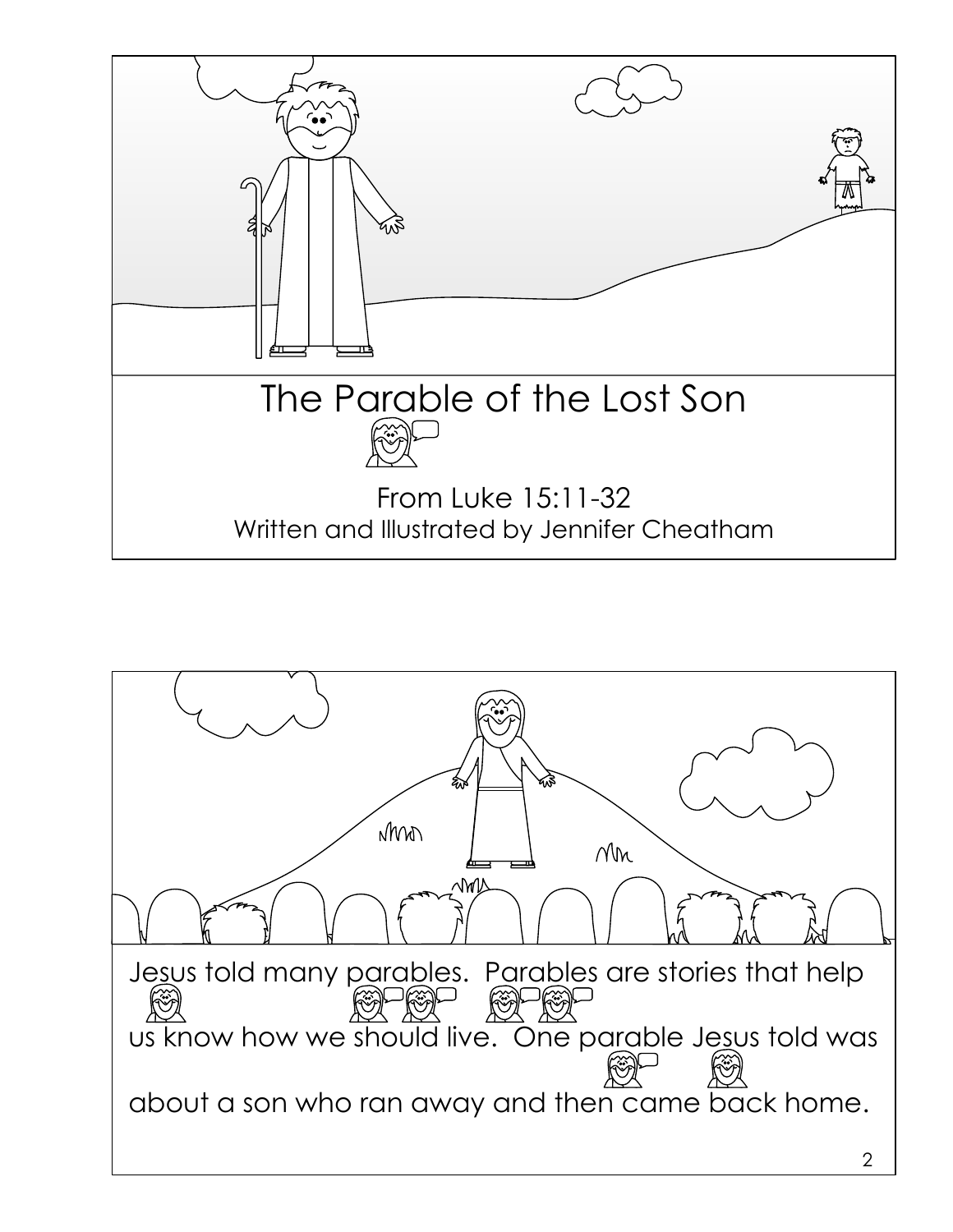

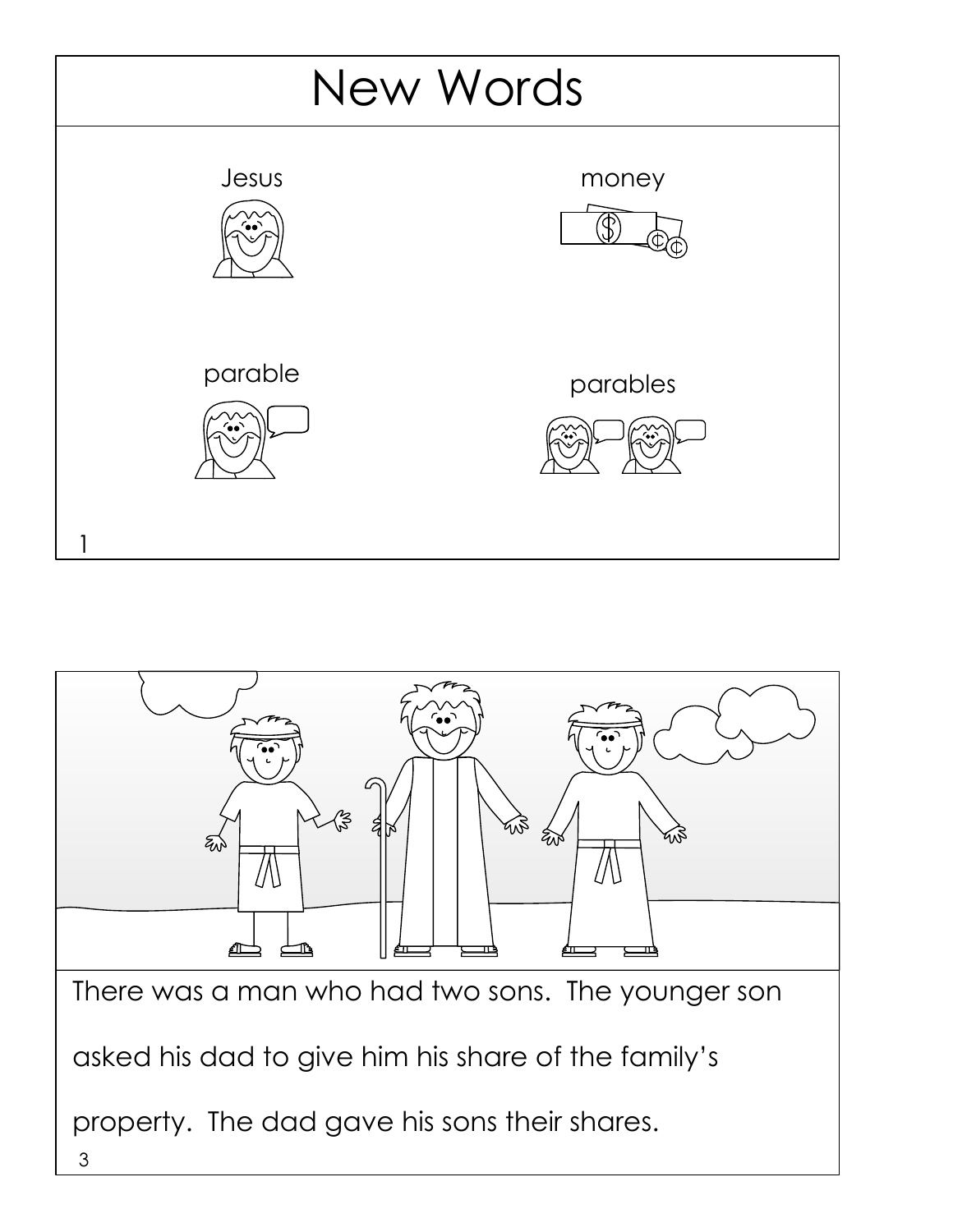

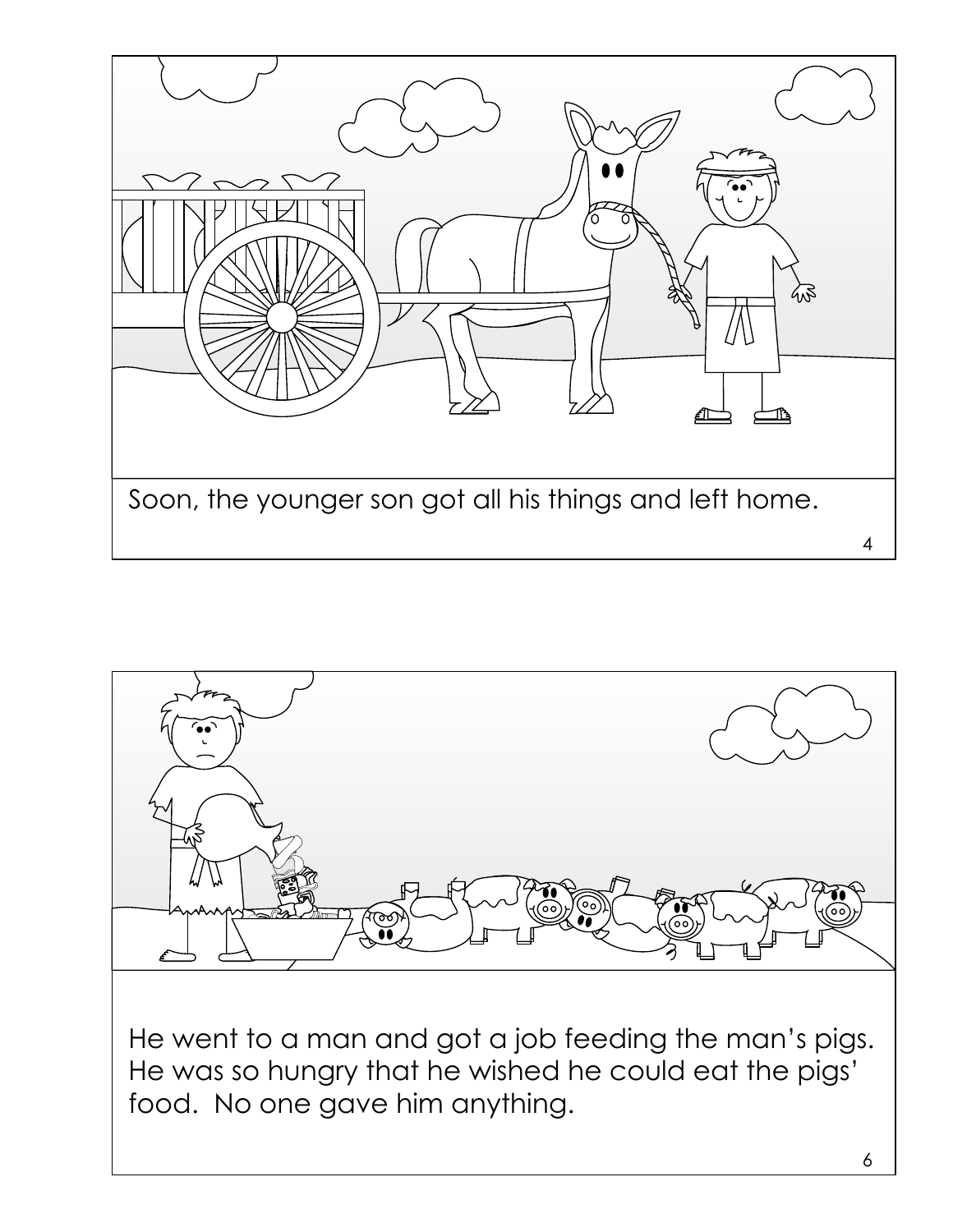

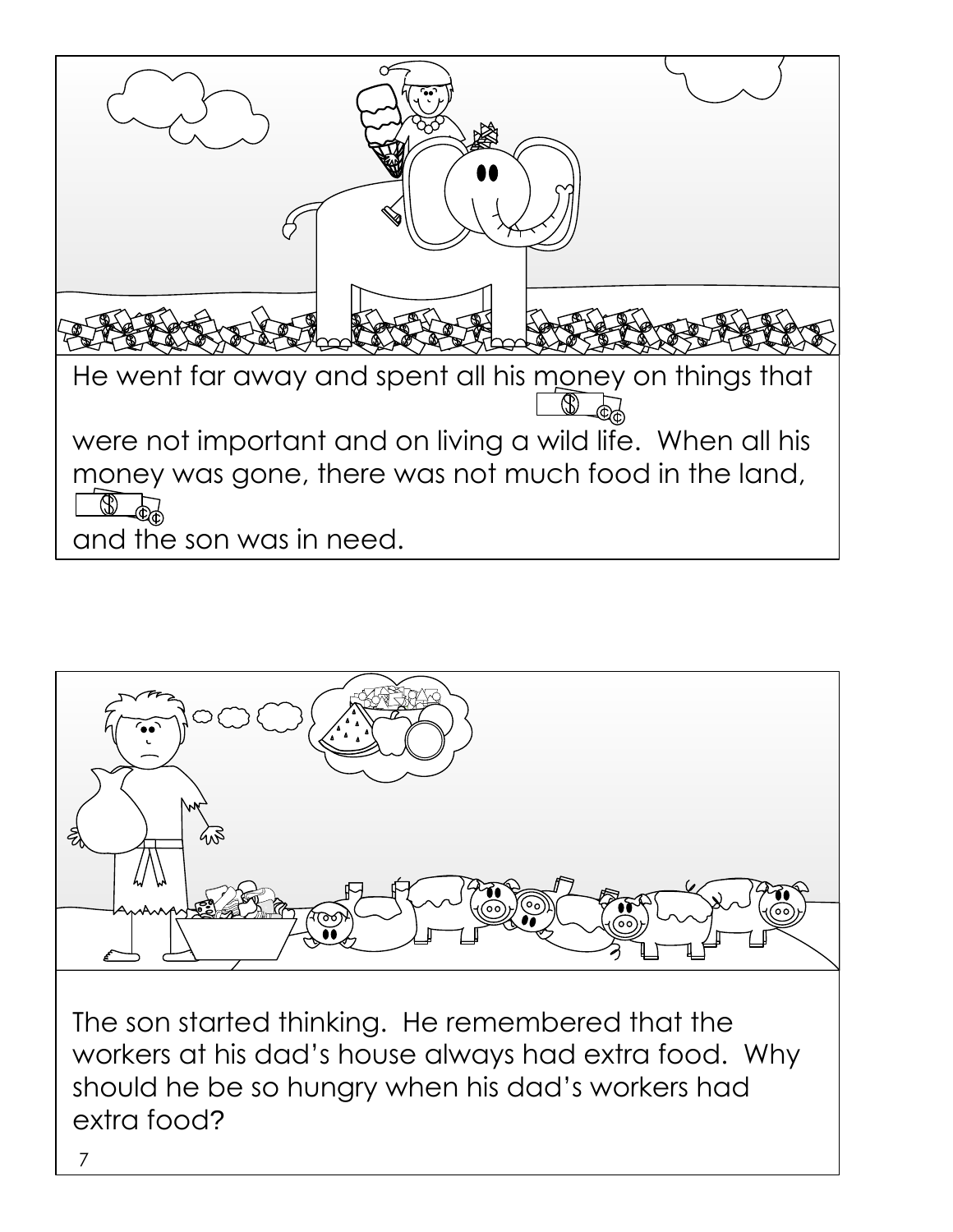



should he be so hungry when his dad's workers had extra food?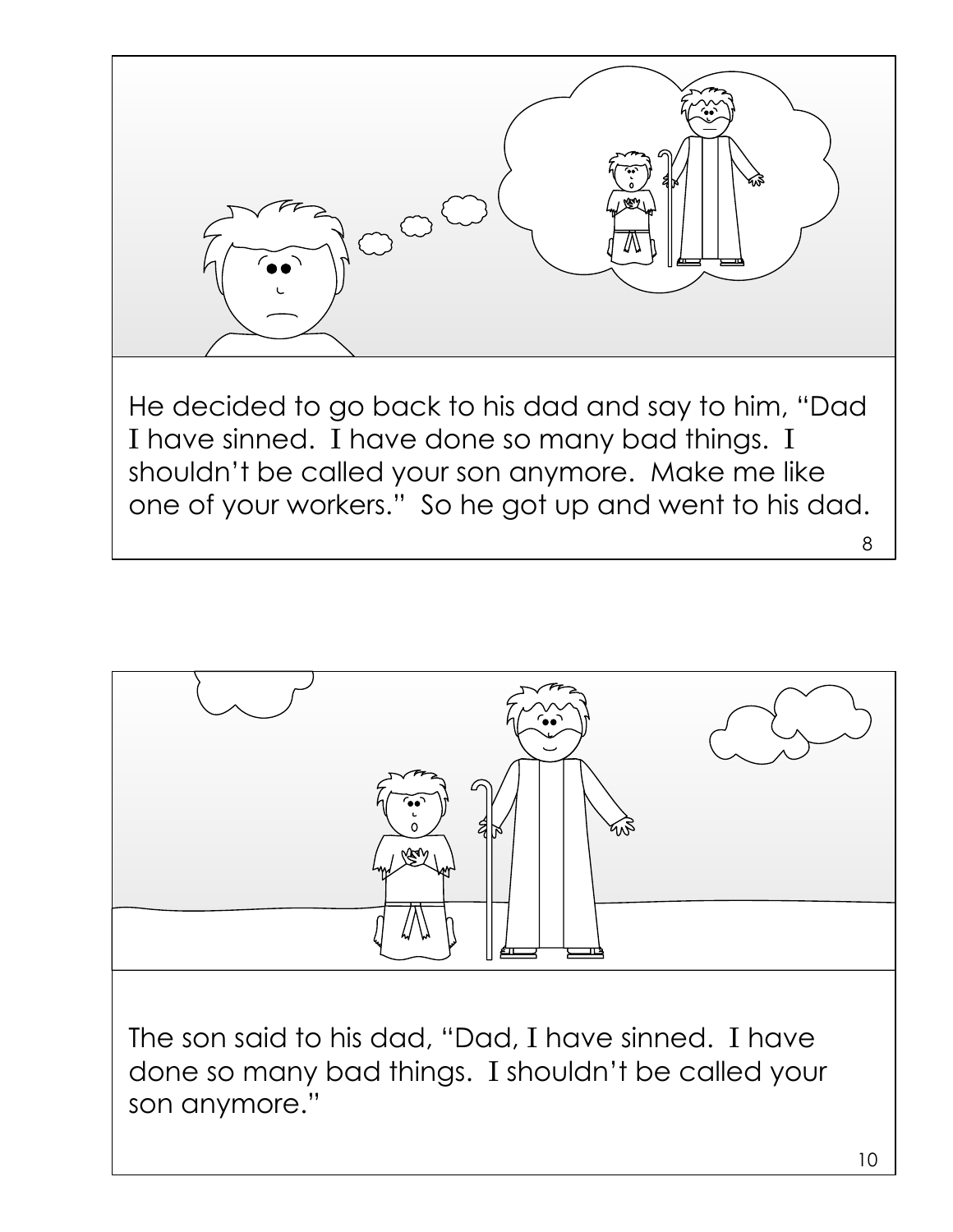



The son said to his dad, "Dad, I have sinned. I have done so many bad things. I shouldn't be called your son anymore."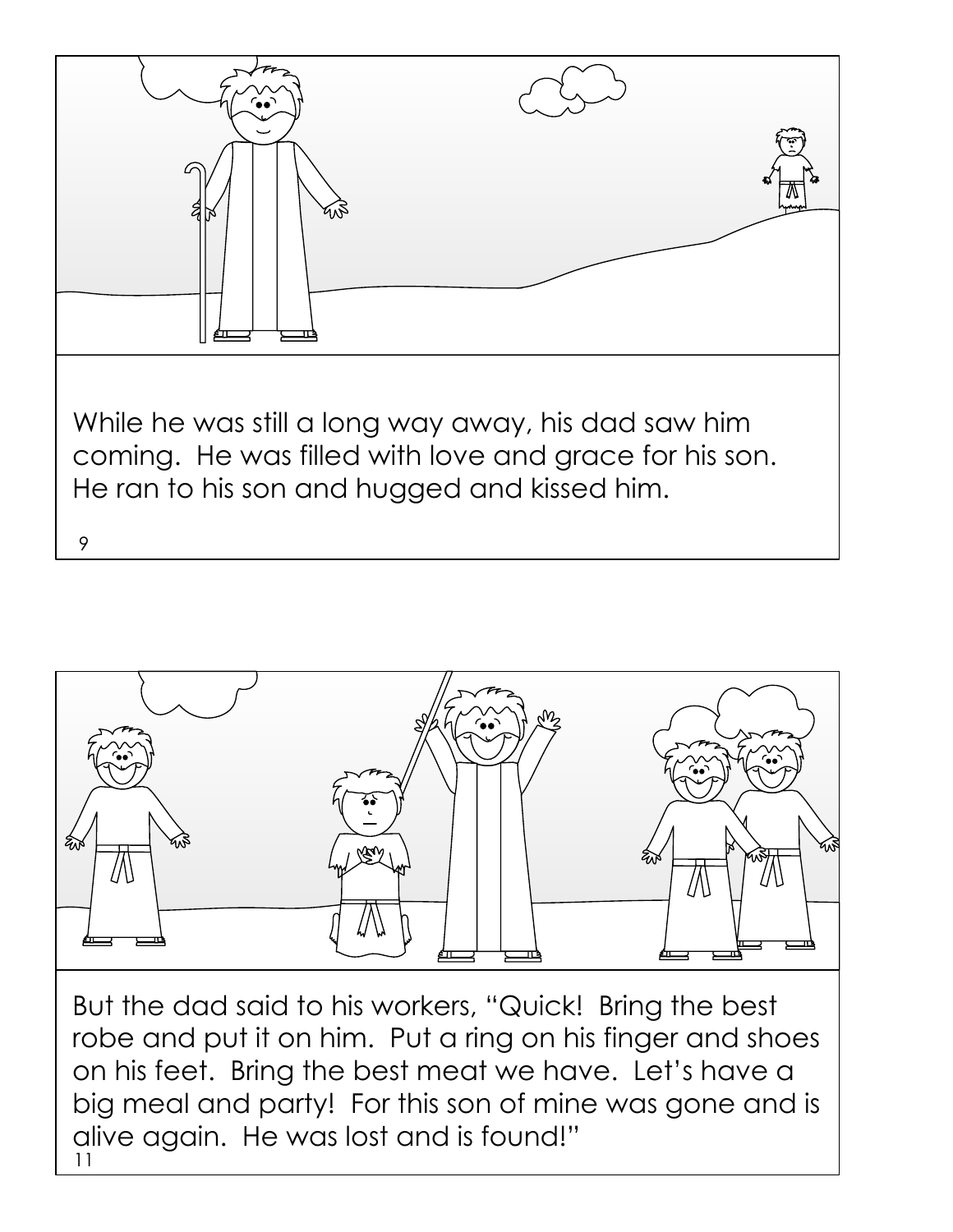



11 But the dad said to his workers, "Quick! Bring the best robe and put it on him. Put a ring on his finger and shoes on his feet. Bring the best meat we have. Let's have a big meal and party! For this son of mine was gone and is alive again. He was lost and is found!"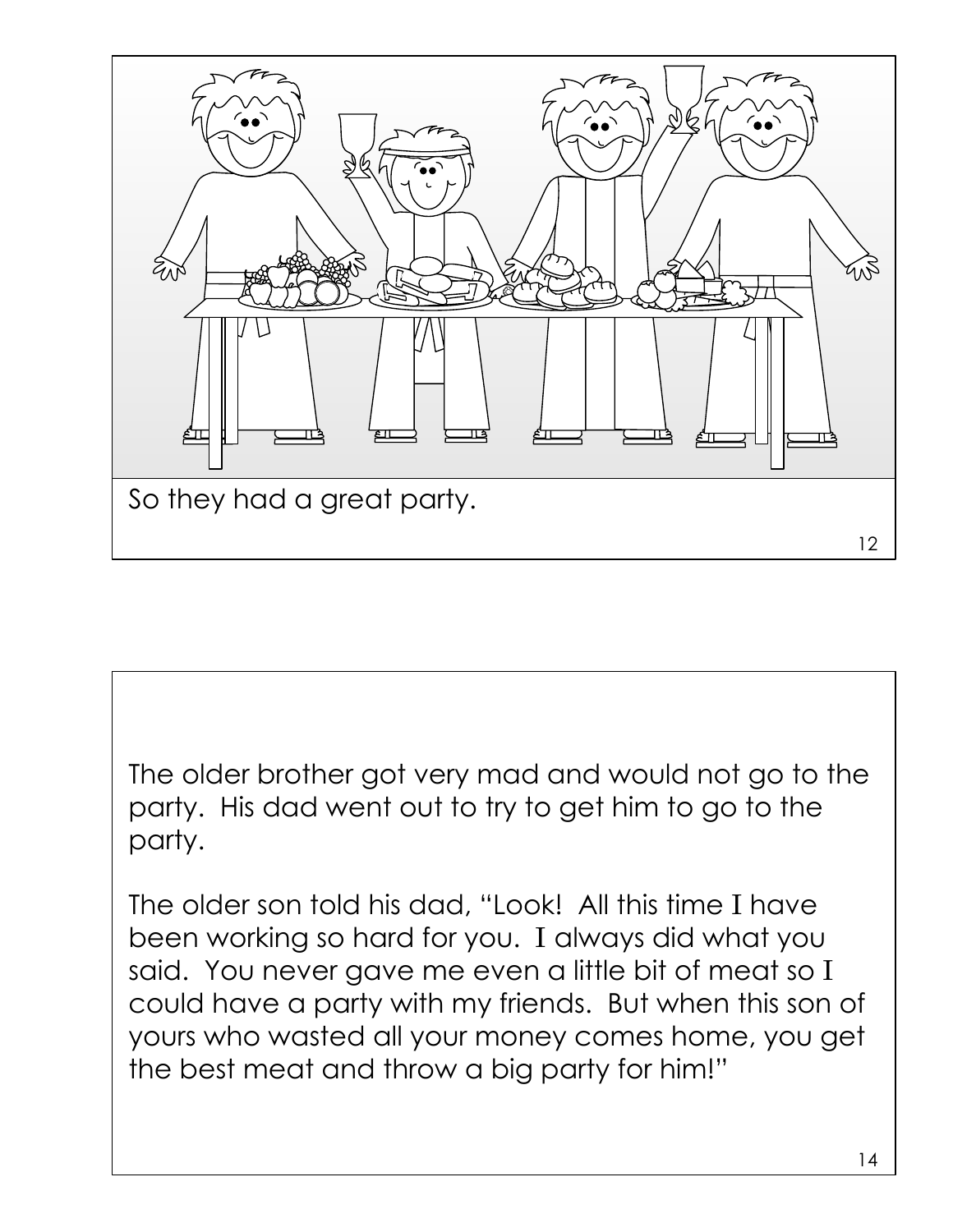

The older brother got very mad and would not go to the party. His dad went out to try to get him to go to the party.

The older son told his dad, "Look! All this time I have been working so hard for you. I always did what you said. You never gave me even a little bit of meat so I could have a party with my friends. But when this son of yours who wasted all your money comes home, you get the best meat and throw a big party for him!"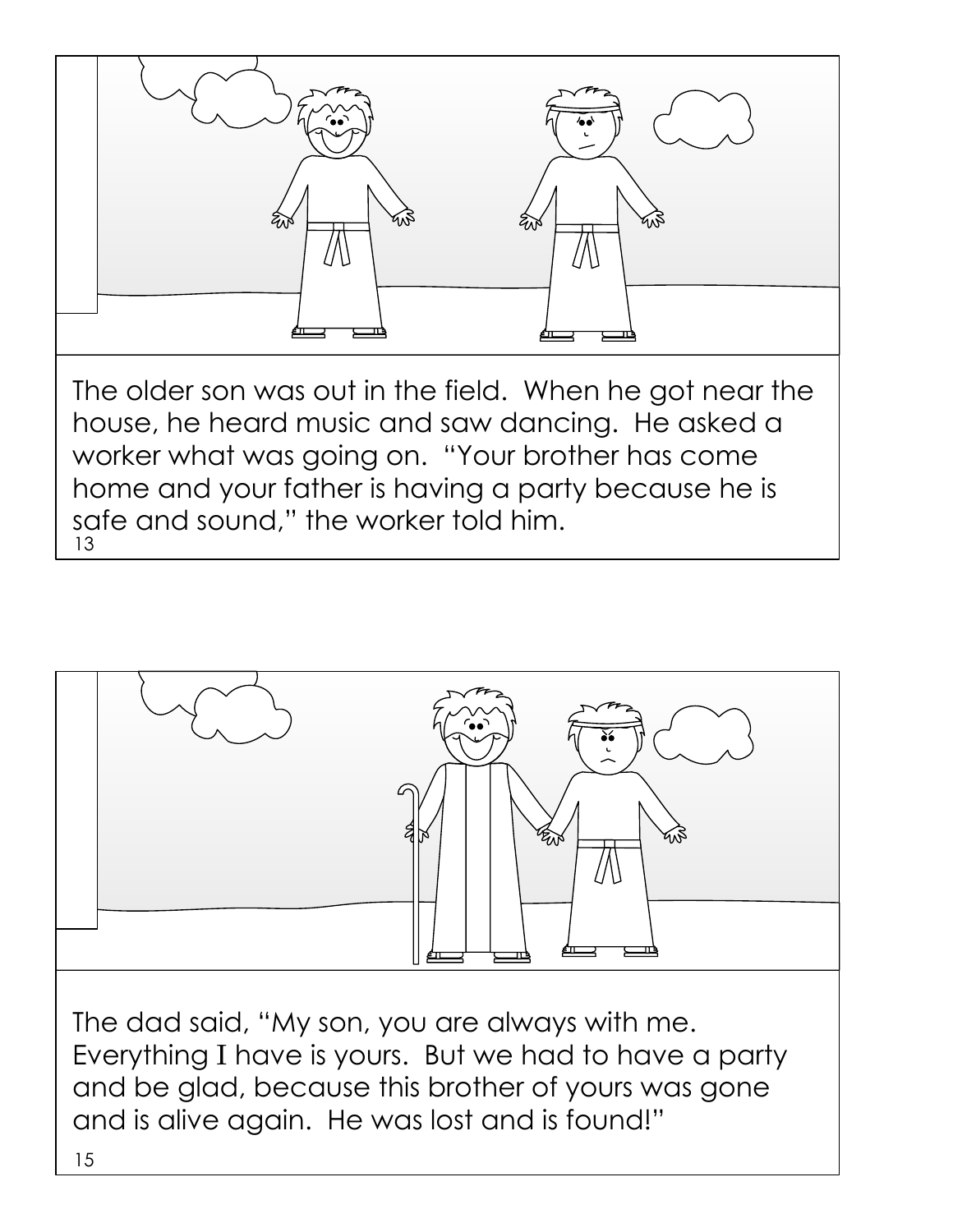



The dad said, "My son, you are always with me. Everything I have is yours. But we had to have a party and be glad, because this brother of yours was gone and is alive again. He was lost and is found!"